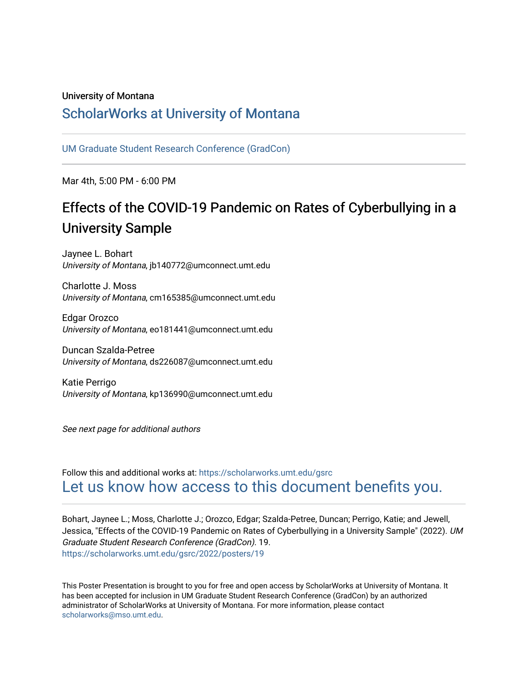### University of Montana

## [ScholarWorks at University of Montana](https://scholarworks.umt.edu/)

[UM Graduate Student Research Conference \(GradCon\)](https://scholarworks.umt.edu/gsrc) 

Mar 4th, 5:00 PM - 6:00 PM

# Effects of the COVID-19 Pandemic on Rates of Cyberbullying in a University Sample

Jaynee L. Bohart University of Montana, jb140772@umconnect.umt.edu

Charlotte J. Moss University of Montana, cm165385@umconnect.umt.edu

Edgar Orozco University of Montana, eo181441@umconnect.umt.edu

Duncan Szalda-Petree University of Montana, ds226087@umconnect.umt.edu

Katie Perrigo University of Montana, kp136990@umconnect.umt.edu

See next page for additional authors

Follow this and additional works at: [https://scholarworks.umt.edu/gsrc](https://scholarworks.umt.edu/gsrc?utm_source=scholarworks.umt.edu%2Fgsrc%2F2022%2Fposters%2F19&utm_medium=PDF&utm_campaign=PDFCoverPages)  [Let us know how access to this document benefits you.](https://goo.gl/forms/s2rGfXOLzz71qgsB2) 

Bohart, Jaynee L.; Moss, Charlotte J.; Orozco, Edgar; Szalda-Petree, Duncan; Perrigo, Katie; and Jewell, Jessica, "Effects of the COVID-19 Pandemic on Rates of Cyberbullying in a University Sample" (2022). UM Graduate Student Research Conference (GradCon). 19. [https://scholarworks.umt.edu/gsrc/2022/posters/19](https://scholarworks.umt.edu/gsrc/2022/posters/19?utm_source=scholarworks.umt.edu%2Fgsrc%2F2022%2Fposters%2F19&utm_medium=PDF&utm_campaign=PDFCoverPages)

This Poster Presentation is brought to you for free and open access by ScholarWorks at University of Montana. It has been accepted for inclusion in UM Graduate Student Research Conference (GradCon) by an authorized administrator of ScholarWorks at University of Montana. For more information, please contact [scholarworks@mso.umt.edu.](mailto:scholarworks@mso.umt.edu)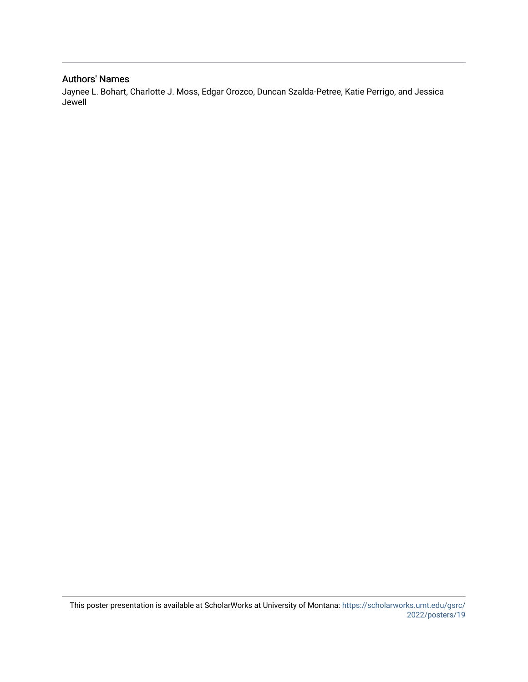### Authors' Names

Jaynee L. Bohart, Charlotte J. Moss, Edgar Orozco, Duncan Szalda-Petree, Katie Perrigo, and Jessica Jewell